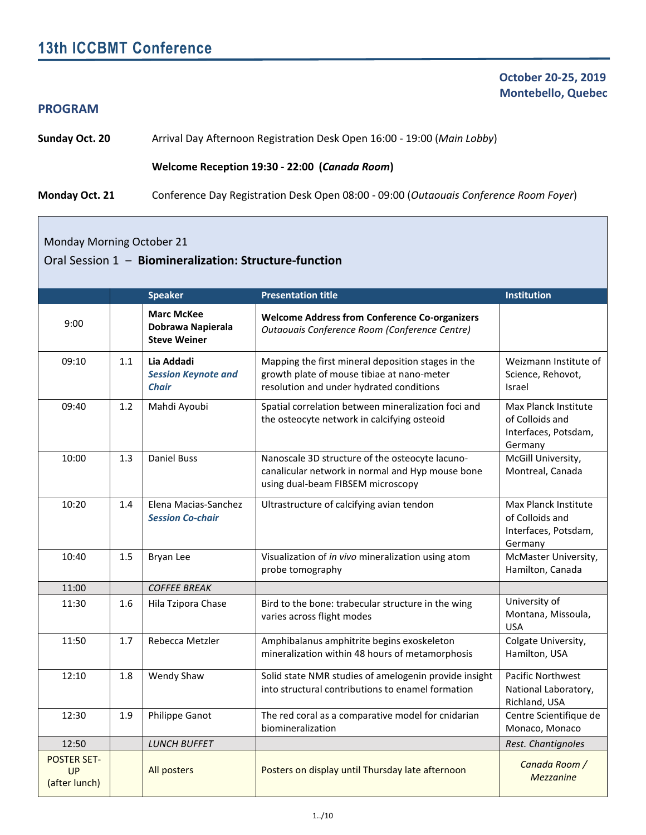# **13th ICCBMT Conference**

#### **PROGRAM**

 **October 20-25, 2019 Montebello, Quebec**

**Sunday Oct. 20** Arrival Day Afternoon Registration Desk Open 16:00 - 19:00 (*Main Lobby*)

#### **Welcome Reception 19:30 - 22:00 (***Canada Room***)**

**Monday Oct. 21** Conference Day Registration Desk Open 08:00 - 09:00 (*Outaouais Conference Room Foyer*)

Monday Morning October 21

#### Oral Session 1 ‒ **Biomineralization: Structure-function**

|                                           |     | <b>Speaker</b>                                                | <b>Presentation title</b>                                                                                                                    | Institution                                                                |
|-------------------------------------------|-----|---------------------------------------------------------------|----------------------------------------------------------------------------------------------------------------------------------------------|----------------------------------------------------------------------------|
|                                           |     |                                                               |                                                                                                                                              |                                                                            |
| 9:00                                      |     | <b>Marc McKee</b><br>Dobrawa Napierala<br><b>Steve Weiner</b> | <b>Welcome Address from Conference Co-organizers</b><br>Outaouais Conference Room (Conference Centre)                                        |                                                                            |
| 09:10                                     | 1.1 | Lia Addadi<br><b>Session Keynote and</b><br><b>Chair</b>      | Mapping the first mineral deposition stages in the<br>growth plate of mouse tibiae at nano-meter<br>resolution and under hydrated conditions | Weizmann Institute of<br>Science, Rehovot,<br><b>Israel</b>                |
| 09:40                                     | 1.2 | Mahdi Ayoubi                                                  | Spatial correlation between mineralization foci and<br>the osteocyte network in calcifying osteoid                                           | Max Planck Institute<br>of Colloids and<br>Interfaces, Potsdam,<br>Germany |
| 10:00                                     | 1.3 | <b>Daniel Buss</b>                                            | Nanoscale 3D structure of the osteocyte lacuno-<br>canalicular network in normal and Hyp mouse bone<br>using dual-beam FIBSEM microscopy     | McGill University,<br>Montreal, Canada                                     |
| 10:20                                     | 1.4 | Elena Macias-Sanchez<br><b>Session Co-chair</b>               | Ultrastructure of calcifying avian tendon                                                                                                    | Max Planck Institute<br>of Colloids and<br>Interfaces, Potsdam,<br>Germany |
| 10:40                                     | 1.5 | <b>Bryan Lee</b>                                              | Visualization of in vivo mineralization using atom<br>probe tomography                                                                       | McMaster University,<br>Hamilton, Canada                                   |
| 11:00                                     |     | <b>COFFEE BREAK</b>                                           |                                                                                                                                              |                                                                            |
| 11:30                                     | 1.6 | Hila Tzipora Chase                                            | Bird to the bone: trabecular structure in the wing<br>varies across flight modes                                                             | University of<br>Montana, Missoula,<br><b>USA</b>                          |
| 11:50                                     | 1.7 | Rebecca Metzler                                               | Amphibalanus amphitrite begins exoskeleton<br>mineralization within 48 hours of metamorphosis                                                | Colgate University,<br>Hamilton, USA                                       |
| 12:10                                     | 1.8 | Wendy Shaw                                                    | Solid state NMR studies of amelogenin provide insight<br>into structural contributions to enamel formation                                   | <b>Pacific Northwest</b><br>National Laboratory,<br>Richland, USA          |
| 12:30                                     | 1.9 | Philippe Ganot                                                | The red coral as a comparative model for cnidarian<br>biomineralization                                                                      | Centre Scientifique de<br>Monaco, Monaco                                   |
| 12:50                                     |     | <b>LUNCH BUFFET</b>                                           |                                                                                                                                              | Rest. Chantignoles                                                         |
| <b>POSTER SET-</b><br>UP<br>(after lunch) |     | All posters                                                   | Posters on display until Thursday late afternoon                                                                                             | Canada Room /<br><b>Mezzanine</b>                                          |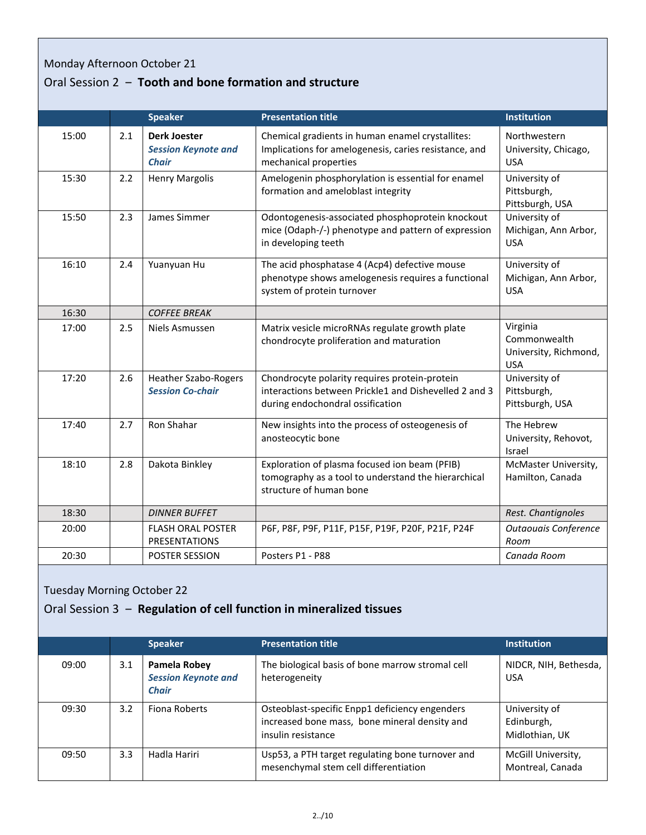# Monday Afternoon October 21

# Oral Session 2 ‒ **Tooth and bone formation and structure**

|       |     | <b>Speaker</b>                                                    | <b>Presentation title</b>                                                                                                                  | Institution                                                     |
|-------|-----|-------------------------------------------------------------------|--------------------------------------------------------------------------------------------------------------------------------------------|-----------------------------------------------------------------|
| 15:00 | 2.1 | <b>Derk Joester</b><br><b>Session Keynote and</b><br><b>Chair</b> | Chemical gradients in human enamel crystallites:<br>Implications for amelogenesis, caries resistance, and<br>mechanical properties         | Northwestern<br>University, Chicago,<br><b>USA</b>              |
| 15:30 | 2.2 | <b>Henry Margolis</b>                                             | Amelogenin phosphorylation is essential for enamel<br>formation and ameloblast integrity                                                   | University of<br>Pittsburgh,<br>Pittsburgh, USA                 |
| 15:50 | 2.3 | James Simmer                                                      | Odontogenesis-associated phosphoprotein knockout<br>mice (Odaph-/-) phenotype and pattern of expression<br>in developing teeth             | University of<br>Michigan, Ann Arbor,<br><b>USA</b>             |
| 16:10 | 2.4 | Yuanyuan Hu                                                       | The acid phosphatase 4 (Acp4) defective mouse<br>phenotype shows amelogenesis requires a functional<br>system of protein turnover          | University of<br>Michigan, Ann Arbor,<br><b>USA</b>             |
| 16:30 |     | <b>COFFEE BREAK</b>                                               |                                                                                                                                            |                                                                 |
| 17:00 | 2.5 | Niels Asmussen                                                    | Matrix vesicle microRNAs regulate growth plate<br>chondrocyte proliferation and maturation                                                 | Virginia<br>Commonwealth<br>University, Richmond,<br><b>USA</b> |
| 17:20 | 2.6 | <b>Heather Szabo-Rogers</b><br><b>Session Co-chair</b>            | Chondrocyte polarity requires protein-protein<br>interactions between Prickle1 and Dishevelled 2 and 3<br>during endochondral ossification | University of<br>Pittsburgh,<br>Pittsburgh, USA                 |
| 17:40 | 2.7 | Ron Shahar                                                        | New insights into the process of osteogenesis of<br>anosteocytic bone                                                                      | The Hebrew<br>University, Rehovot,<br>Israel                    |
| 18:10 | 2.8 | Dakota Binkley                                                    | Exploration of plasma focused ion beam (PFIB)<br>tomography as a tool to understand the hierarchical<br>structure of human bone            | McMaster University,<br>Hamilton, Canada                        |
| 18:30 |     | <b>DINNER BUFFET</b>                                              |                                                                                                                                            | Rest. Chantignoles                                              |
| 20:00 |     | <b>FLASH ORAL POSTER</b><br><b>PRESENTATIONS</b>                  | P6F, P8F, P9F, P11F, P15F, P19F, P20F, P21F, P24F                                                                                          | Outaouais Conference<br>Room                                    |
| 20:30 |     | <b>POSTER SESSION</b>                                             | Posters P1 - P88                                                                                                                           | Canada Room                                                     |

# Tuesday Morning October 22

### Oral Session 3 ‒ **Regulation of cell function in mineralized tissues**

|       |     | <b>Speaker</b>                                             | <b>Presentation title</b>                                                                                             | <b>Institution</b>                            |
|-------|-----|------------------------------------------------------------|-----------------------------------------------------------------------------------------------------------------------|-----------------------------------------------|
| 09:00 | 3.1 | Pamela Robey<br><b>Session Keynote and</b><br><b>Chair</b> | The biological basis of bone marrow stromal cell<br>heterogeneity                                                     | NIDCR, NIH, Bethesda,<br><b>USA</b>           |
| 09:30 | 3.2 | Fiona Roberts                                              | Osteoblast-specific Enpp1 deficiency engenders<br>increased bone mass, bone mineral density and<br>insulin resistance | University of<br>Edinburgh,<br>Midlothian, UK |
| 09:50 | 3.3 | Hadla Hariri                                               | Usp53, a PTH target regulating bone turnover and<br>mesenchymal stem cell differentiation                             | McGill University,<br>Montreal, Canada        |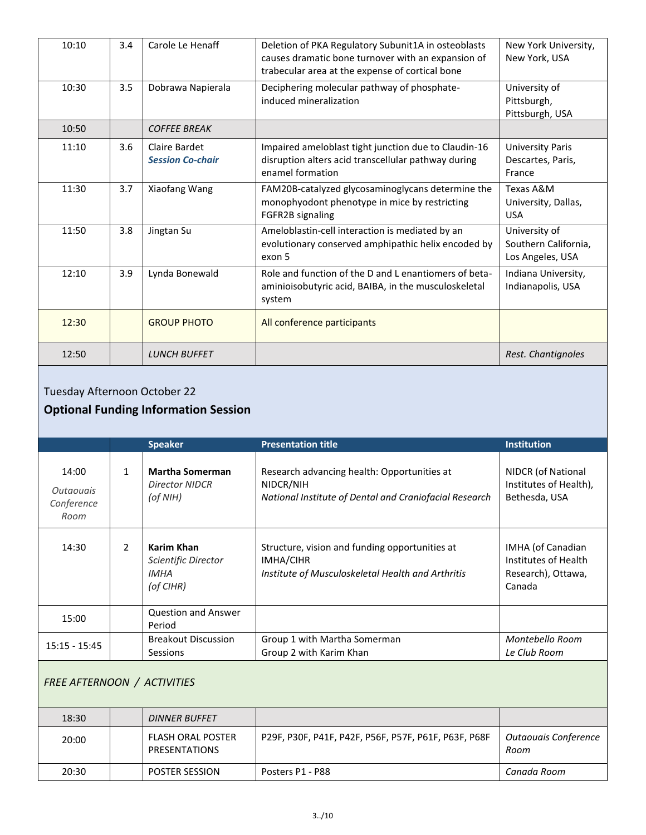| 10:10 | 3.4 | Carole Le Henaff                         | Deletion of PKA Regulatory Subunit1A in osteoblasts<br>causes dramatic bone turnover with an expansion of<br>trabecular area at the expense of cortical bone | New York University,<br>New York, USA                     |
|-------|-----|------------------------------------------|--------------------------------------------------------------------------------------------------------------------------------------------------------------|-----------------------------------------------------------|
| 10:30 | 3.5 | Dobrawa Napierala                        | Deciphering molecular pathway of phosphate-<br>induced mineralization                                                                                        | University of<br>Pittsburgh,<br>Pittsburgh, USA           |
| 10:50 |     | <b>COFFEE BREAK</b>                      |                                                                                                                                                              |                                                           |
| 11:10 | 3.6 | Claire Bardet<br><b>Session Co-chair</b> | Impaired ameloblast tight junction due to Claudin-16<br>disruption alters acid transcellular pathway during<br>enamel formation                              | <b>University Paris</b><br>Descartes, Paris,<br>France    |
| 11:30 | 3.7 | Xiaofang Wang                            | FAM20B-catalyzed glycosaminoglycans determine the<br>monophyodont phenotype in mice by restricting<br>FGFR2B signaling                                       | Texas A&M<br>University, Dallas,<br><b>USA</b>            |
| 11:50 | 3.8 | Jingtan Su                               | Ameloblastin-cell interaction is mediated by an<br>evolutionary conserved amphipathic helix encoded by<br>exon 5                                             | University of<br>Southern California,<br>Los Angeles, USA |
| 12:10 | 3.9 | Lynda Bonewald                           | Role and function of the D and L enantiomers of beta-<br>aminioisobutyric acid, BAIBA, in the musculoskeletal<br>system                                      | Indiana University,<br>Indianapolis, USA                  |
| 12:30 |     | <b>GROUP PHOTO</b>                       | All conference participants                                                                                                                                  |                                                           |
| 12:50 |     | <b>LUNCH BUFFET</b>                      |                                                                                                                                                              | Rest. Chantignoles                                        |

# Tuesday Afternoon October 22

# **Optional Funding Information Session**

|                                                        |   | <b>Speaker</b>                                                | <b>Presentation title</b>                                                                                          | <b>Institution</b>                                                        |
|--------------------------------------------------------|---|---------------------------------------------------------------|--------------------------------------------------------------------------------------------------------------------|---------------------------------------------------------------------------|
| 14:00<br><i><u>Outaouais</u></i><br>Conference<br>Room | 1 | <b>Martha Somerman</b><br><b>Director NIDCR</b><br>(of NIH)   | Research advancing health: Opportunities at<br>NIDCR/NIH<br>National Institute of Dental and Craniofacial Research | NIDCR (of National<br>Institutes of Health),<br>Bethesda, USA             |
| 14:30                                                  | 2 | Karim Khan<br>Scientific Director<br><b>IMHA</b><br>(of CIHR) | Structure, vision and funding opportunities at<br>IMHA/CIHR<br>Institute of Musculoskeletal Health and Arthritis   | IMHA (of Canadian<br>Institutes of Health<br>Research), Ottawa,<br>Canada |
| 15:00                                                  |   | <b>Question and Answer</b><br>Period                          |                                                                                                                    |                                                                           |
| $15:15 - 15:45$                                        |   | <b>Breakout Discussion</b><br><b>Sessions</b>                 | Group 1 with Martha Somerman<br>Group 2 with Karim Khan                                                            | Montebello Room<br>Le Club Room                                           |

# *FREE AFTERNOON / ACTIVITIES*

| 18:30 |  | <b>DINNER BUFFET</b>                      |                                                      |                              |  |
|-------|--|-------------------------------------------|------------------------------------------------------|------------------------------|--|
| 20:00 |  | <b>FLASH ORAL POSTER</b><br>PRESENTATIONS | P29F, P30F, P41F, P42F, P56F, P57F, P61F, P63F, P68F | Outaouais Conference<br>Room |  |
| 20:30 |  | <b>POSTER SESSION</b>                     | Posters P1 - P88                                     | Canada Room                  |  |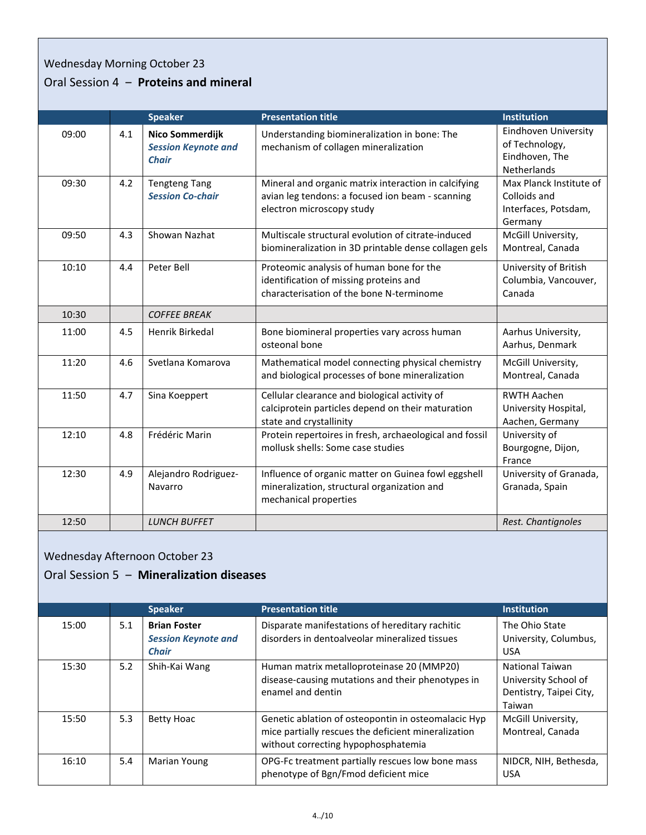# Wednesday Morning October 23

# Oral Session 4 ‒ **Proteins and mineral**

|       |     | <b>Speaker</b>                                                | <b>Presentation title</b>                                                                                                             | Institution                                                                |
|-------|-----|---------------------------------------------------------------|---------------------------------------------------------------------------------------------------------------------------------------|----------------------------------------------------------------------------|
| 09:00 | 4.1 | Nico Sommerdijk<br><b>Session Keynote and</b><br><b>Chair</b> | Understanding biomineralization in bone: The<br>mechanism of collagen mineralization                                                  | Eindhoven University<br>of Technology,<br>Eindhoven, The<br>Netherlands    |
| 09:30 | 4.2 | <b>Tengteng Tang</b><br><b>Session Co-chair</b>               | Mineral and organic matrix interaction in calcifying<br>avian leg tendons: a focused ion beam - scanning<br>electron microscopy study | Max Planck Institute of<br>Colloids and<br>Interfaces, Potsdam,<br>Germany |
| 09:50 | 4.3 | Showan Nazhat                                                 | Multiscale structural evolution of citrate-induced<br>biomineralization in 3D printable dense collagen gels                           | McGill University,<br>Montreal, Canada                                     |
| 10:10 | 4.4 | Peter Bell                                                    | Proteomic analysis of human bone for the<br>identification of missing proteins and<br>characterisation of the bone N-terminome        | University of British<br>Columbia, Vancouver,<br>Canada                    |
| 10:30 |     | <b>COFFEE BREAK</b>                                           |                                                                                                                                       |                                                                            |
| 11:00 | 4.5 | <b>Henrik Birkedal</b>                                        | Bone biomineral properties vary across human<br>osteonal bone                                                                         | Aarhus University,<br>Aarhus, Denmark                                      |
| 11:20 | 4.6 | Svetlana Komarova                                             | Mathematical model connecting physical chemistry<br>and biological processes of bone mineralization                                   | McGill University,<br>Montreal, Canada                                     |
| 11:50 | 4.7 | Sina Koeppert                                                 | Cellular clearance and biological activity of<br>calciprotein particles depend on their maturation<br>state and crystallinity         | <b>RWTH Aachen</b><br>University Hospital,<br>Aachen, Germany              |
| 12:10 | 4.8 | Frédéric Marin                                                | Protein repertoires in fresh, archaeological and fossil<br>mollusk shells: Some case studies                                          | University of<br>Bourgogne, Dijon,<br>France                               |
| 12:30 | 4.9 | Alejandro Rodriguez-<br>Navarro                               | Influence of organic matter on Guinea fowl eggshell<br>mineralization, structural organization and<br>mechanical properties           | University of Granada,<br>Granada, Spain                                   |
| 12:50 |     | <b>LUNCH BUFFET</b>                                           |                                                                                                                                       | Rest. Chantignoles                                                         |

### Wednesday Afternoon October 23

#### Oral Session 5 ‒ **Mineralization diseases**

|       |     | <b>Speaker</b>                                                    | <b>Presentation title</b>                                                                                                                         | <b>Institution</b>                                                                  |
|-------|-----|-------------------------------------------------------------------|---------------------------------------------------------------------------------------------------------------------------------------------------|-------------------------------------------------------------------------------------|
| 15:00 | 5.1 | <b>Brian Foster</b><br><b>Session Keynote and</b><br><b>Chair</b> | Disparate manifestations of hereditary rachitic<br>disorders in dentoalveolar mineralized tissues                                                 | The Ohio State<br>University, Columbus,<br><b>USA</b>                               |
| 15:30 | 5.2 | Shih-Kai Wang                                                     | Human matrix metalloproteinase 20 (MMP20)<br>disease-causing mutations and their phenotypes in<br>enamel and dentin                               | <b>National Taiwan</b><br>University School of<br>Dentistry, Taipei City,<br>Taiwan |
| 15:50 | 5.3 | <b>Betty Hoac</b>                                                 | Genetic ablation of osteopontin in osteomalacic Hyp<br>mice partially rescues the deficient mineralization<br>without correcting hypophosphatemia | McGill University,<br>Montreal, Canada                                              |
| 16:10 | 5.4 | <b>Marian Young</b>                                               | OPG-Fc treatment partially rescues low bone mass<br>phenotype of Bgn/Fmod deficient mice                                                          | NIDCR, NIH, Bethesda,<br><b>USA</b>                                                 |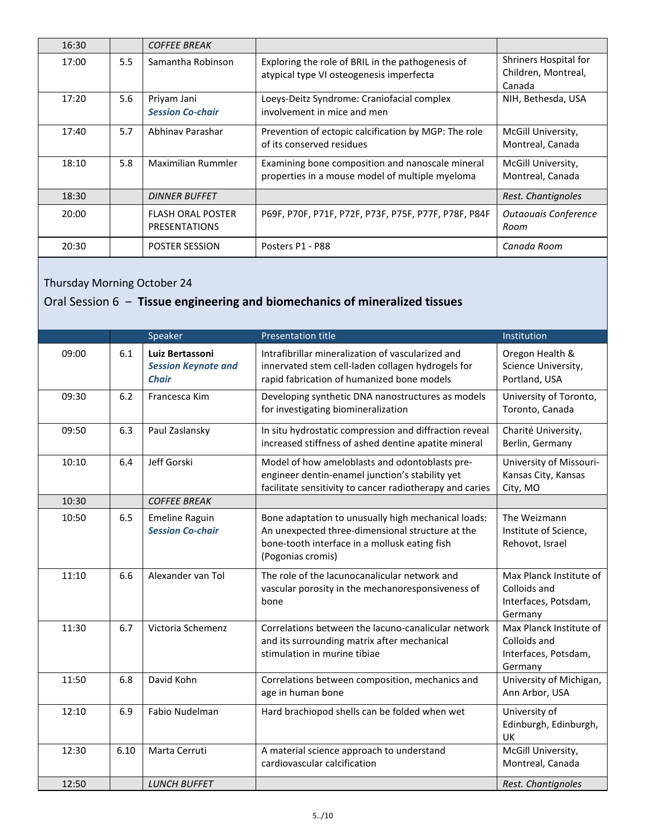| 16:30 |     | <b>COFFEE BREAK</b>                              |                                                                                                     |                                                        |
|-------|-----|--------------------------------------------------|-----------------------------------------------------------------------------------------------------|--------------------------------------------------------|
| 17:00 | 5.5 | Samantha Robinson                                | Exploring the role of BRIL in the pathogenesis of<br>atypical type VI osteogenesis imperfecta       | Shriners Hospital for<br>Children, Montreal,<br>Canada |
| 17:20 | 5.6 | Priyam Jani<br><b>Session Co-chair</b>           | Loeys-Deitz Syndrome: Craniofacial complex<br>involvement in mice and men                           | NIH, Bethesda, USA                                     |
| 17:40 | 5.7 | Abhinay Parashar                                 | Prevention of ectopic calcification by MGP: The role<br>of its conserved residues                   | McGill University,<br>Montreal, Canada                 |
| 18:10 | 5.8 | Maximilian Rummler                               | Examining bone composition and nanoscale mineral<br>properties in a mouse model of multiple myeloma | McGill University,<br>Montreal, Canada                 |
| 18:30 |     | <b>DINNER BUFFET</b>                             |                                                                                                     | Rest. Chantignoles                                     |
| 20:00 |     | <b>FLASH ORAL POSTER</b><br><b>PRESENTATIONS</b> | P69F, P70F, P71F, P72F, P73F, P75F, P77F, P78F, P84F                                                | <b>Outaouais Conference</b><br>Room                    |
| 20:30 |     | <b>POSTER SESSION</b>                            | Posters P1 - P88                                                                                    | Canada Room                                            |

# Thursday Morning October 24

# Oral Session 6 ‒ **Tissue engineering and biomechanics of mineralized tissues**

|       |      | Speaker                                                       | <b>Presentation title</b>                                                                                                                                                     | Institution                                                                |
|-------|------|---------------------------------------------------------------|-------------------------------------------------------------------------------------------------------------------------------------------------------------------------------|----------------------------------------------------------------------------|
| 09:00 | 6.1  | Luiz Bertassoni<br><b>Session Keynote and</b><br><b>Chair</b> | Intrafibrillar mineralization of vascularized and<br>innervated stem cell-laden collagen hydrogels for<br>rapid fabrication of humanized bone models                          | Oregon Health &<br>Science University,<br>Portland, USA                    |
| 09:30 | 6.2  | Francesca Kim                                                 | Developing synthetic DNA nanostructures as models<br>for investigating biomineralization                                                                                      | University of Toronto,<br>Toronto, Canada                                  |
| 09:50 | 6.3  | Paul Zaslansky                                                | In situ hydrostatic compression and diffraction reveal<br>increased stiffness of ashed dentine apatite mineral                                                                | Charité University,<br>Berlin, Germany                                     |
| 10:10 | 6.4  | Jeff Gorski                                                   | Model of how ameloblasts and odontoblasts pre-<br>engineer dentin-enamel junction's stability yet<br>facilitate sensitivity to cancer radiotherapy and caries                 | University of Missouri-<br>Kansas City, Kansas<br>City, MO                 |
| 10:30 |      | <b>COFFEE BREAK</b>                                           |                                                                                                                                                                               |                                                                            |
| 10:50 | 6.5  | <b>Emeline Raguin</b><br><b>Session Co-chair</b>              | Bone adaptation to unusually high mechanical loads:<br>An unexpected three-dimensional structure at the<br>bone-tooth interface in a mollusk eating fish<br>(Pogonias cromis) | The Weizmann<br>Institute of Science,<br>Rehovot, Israel                   |
| 11:10 | 6.6  | Alexander van Tol                                             | The role of the lacunocanalicular network and<br>vascular porosity in the mechanoresponsiveness of<br>bone                                                                    | Max Planck Institute of<br>Colloids and<br>Interfaces, Potsdam,<br>Germany |
| 11:30 | 6.7  | Victoria Schemenz                                             | Correlations between the lacuno-canalicular network<br>and its surrounding matrix after mechanical<br>stimulation in murine tibiae                                            | Max Planck Institute of<br>Colloids and<br>Interfaces, Potsdam,<br>Germany |
| 11:50 | 6.8  | David Kohn                                                    | Correlations between composition, mechanics and<br>age in human bone                                                                                                          | University of Michigan,<br>Ann Arbor, USA                                  |
| 12:10 | 6.9  | Fabio Nudelman                                                | Hard brachiopod shells can be folded when wet                                                                                                                                 | University of<br>Edinburgh, Edinburgh,<br>UK                               |
| 12:30 | 6.10 | Marta Cerruti                                                 | A material science approach to understand<br>cardiovascular calcification                                                                                                     | McGill University,<br>Montreal, Canada                                     |
| 12:50 |      | <b>LUNCH BUFFET</b>                                           |                                                                                                                                                                               | Rest. Chantignoles                                                         |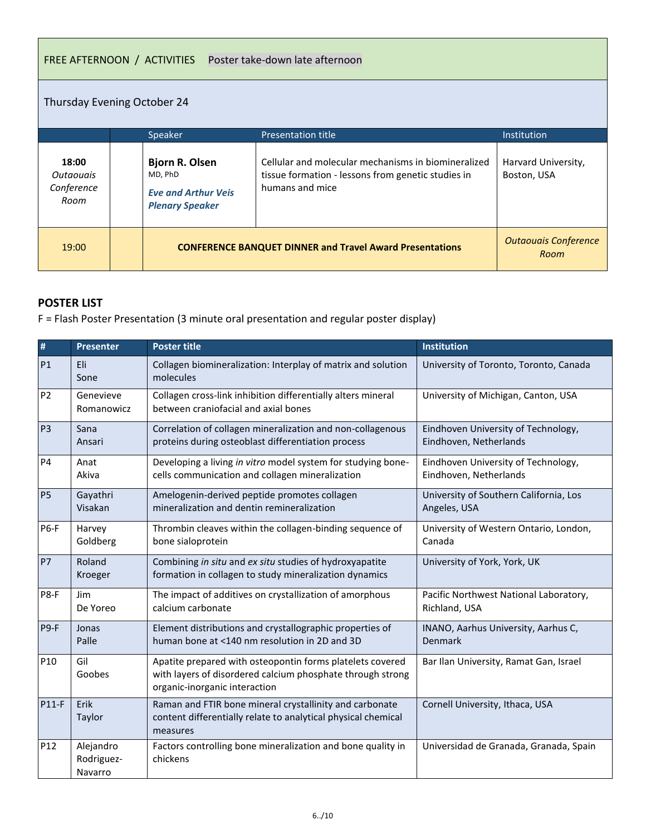#### FREE AFTERNOON / ACTIVITIES Poster take-down late afternoon

### Thursday Evening October 24

|                                                 | Speaker                                                                                  | <b>Presentation title</b>                                                                                                    | Institution                         |
|-------------------------------------------------|------------------------------------------------------------------------------------------|------------------------------------------------------------------------------------------------------------------------------|-------------------------------------|
| 18:00<br><i>Outaouais</i><br>Conference<br>Room | <b>Bjorn R. Olsen</b><br>MD. PhD<br><b>Eve and Arthur Veis</b><br><b>Plenary Speaker</b> | Cellular and molecular mechanisms in biomineralized<br>tissue formation - lessons from genetic studies in<br>humans and mice | Harvard University,<br>Boston, USA  |
| 19:00                                           | <b>CONFERENCE BANQUET DINNER and Travel Award Presentations</b>                          |                                                                                                                              | <b>Outaouais Conference</b><br>Room |

### **POSTER LIST**

F = Flash Poster Presentation (3 minute oral presentation and regular poster display)

| $\pmb{\sharp}$ | <b>Presenter</b>                   | <b>Poster title</b>                                                                                                                                      | Institution                                                   |
|----------------|------------------------------------|----------------------------------------------------------------------------------------------------------------------------------------------------------|---------------------------------------------------------------|
| <b>P1</b>      | Eli<br>Sone                        | Collagen biomineralization: Interplay of matrix and solution<br>molecules                                                                                | University of Toronto, Toronto, Canada                        |
| P <sub>2</sub> | Genevieve<br>Romanowicz            | Collagen cross-link inhibition differentially alters mineral<br>between craniofacial and axial bones                                                     | University of Michigan, Canton, USA                           |
| P <sub>3</sub> | Sana<br>Ansari                     | Correlation of collagen mineralization and non-collagenous<br>proteins during osteoblast differentiation process                                         | Eindhoven University of Technology,<br>Eindhoven, Netherlands |
| P4             | Anat<br>Akiva                      | Developing a living in vitro model system for studying bone-<br>cells communication and collagen mineralization                                          | Eindhoven University of Technology,<br>Eindhoven, Netherlands |
| <b>P5</b>      | Gayathri<br>Visakan                | Amelogenin-derived peptide promotes collagen<br>mineralization and dentin remineralization                                                               | University of Southern California, Los<br>Angeles, USA        |
| <b>P6-F</b>    | Harvey<br>Goldberg                 | Thrombin cleaves within the collagen-binding sequence of<br>bone sialoprotein                                                                            | University of Western Ontario, London,<br>Canada              |
| <b>P7</b>      | Roland<br>Kroeger                  | Combining in situ and ex situ studies of hydroxyapatite<br>formation in collagen to study mineralization dynamics                                        | University of York, York, UK                                  |
| P8-F           | Jim<br>De Yoreo                    | The impact of additives on crystallization of amorphous<br>calcium carbonate                                                                             | Pacific Northwest National Laboratory,<br>Richland, USA       |
| $P9-F$         | Jonas<br>Palle                     | Element distributions and crystallographic properties of<br>human bone at <140 nm resolution in 2D and 3D                                                | INANO, Aarhus University, Aarhus C,<br><b>Denmark</b>         |
| P10            | Gil<br>Goobes                      | Apatite prepared with osteopontin forms platelets covered<br>with layers of disordered calcium phosphate through strong<br>organic-inorganic interaction | Bar Ilan University, Ramat Gan, Israel                        |
| <b>P11-F</b>   | Erik<br>Taylor                     | Raman and FTIR bone mineral crystallinity and carbonate<br>content differentially relate to analytical physical chemical<br>measures                     | Cornell University, Ithaca, USA                               |
| P12            | Alejandro<br>Rodriguez-<br>Navarro | Factors controlling bone mineralization and bone quality in<br>chickens                                                                                  | Universidad de Granada, Granada, Spain                        |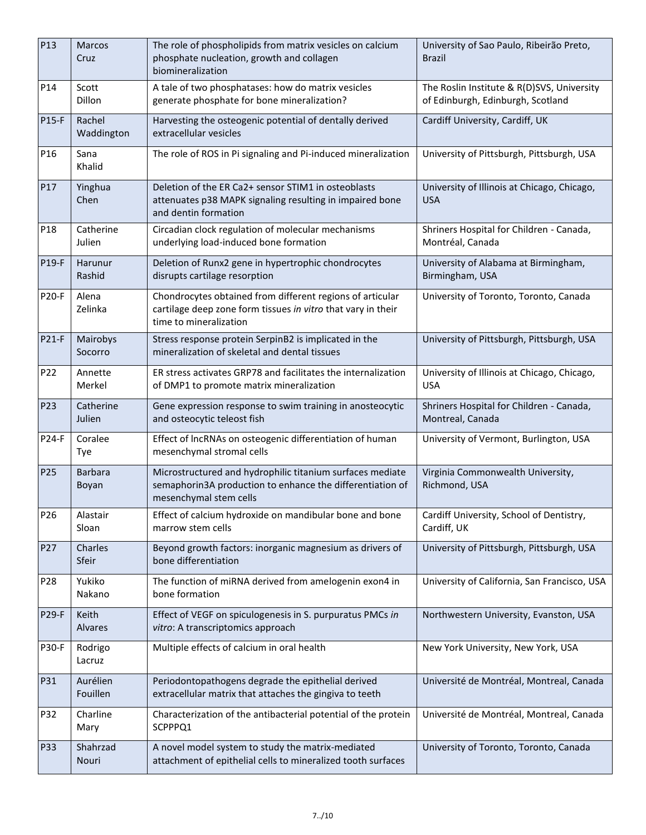| P13             | Marcos<br>Cruz          | The role of phospholipids from matrix vesicles on calcium<br>phosphate nucleation, growth and collagen<br>biomineralization                         | University of Sao Paulo, Ribeirão Preto,<br>Brazil                              |
|-----------------|-------------------------|-----------------------------------------------------------------------------------------------------------------------------------------------------|---------------------------------------------------------------------------------|
| P14             | Scott<br>Dillon         | A tale of two phosphatases: how do matrix vesicles<br>generate phosphate for bone mineralization?                                                   | The Roslin Institute & R(D)SVS, University<br>of Edinburgh, Edinburgh, Scotland |
| <b>P15-F</b>    | Rachel<br>Waddington    | Harvesting the osteogenic potential of dentally derived<br>extracellular vesicles                                                                   | Cardiff University, Cardiff, UK                                                 |
| P16             | Sana<br>Khalid          | The role of ROS in Pi signaling and Pi-induced mineralization                                                                                       | University of Pittsburgh, Pittsburgh, USA                                       |
| P17             | Yinghua<br>Chen         | Deletion of the ER Ca2+ sensor STIM1 in osteoblasts<br>attenuates p38 MAPK signaling resulting in impaired bone<br>and dentin formation             | University of Illinois at Chicago, Chicago,<br><b>USA</b>                       |
| P <sub>18</sub> | Catherine<br>Julien     | Circadian clock regulation of molecular mechanisms<br>underlying load-induced bone formation                                                        | Shriners Hospital for Children - Canada,<br>Montréal, Canada                    |
| P19-F           | Harunur<br>Rashid       | Deletion of Runx2 gene in hypertrophic chondrocytes<br>disrupts cartilage resorption                                                                | University of Alabama at Birmingham,<br>Birmingham, USA                         |
| <b>P20-F</b>    | Alena<br>Zelinka        | Chondrocytes obtained from different regions of articular<br>cartilage deep zone form tissues in vitro that vary in their<br>time to mineralization | University of Toronto, Toronto, Canada                                          |
| <b>P21-F</b>    | Mairobys<br>Socorro     | Stress response protein SerpinB2 is implicated in the<br>mineralization of skeletal and dental tissues                                              | University of Pittsburgh, Pittsburgh, USA                                       |
| P22             | Annette<br>Merkel       | ER stress activates GRP78 and facilitates the internalization<br>of DMP1 to promote matrix mineralization                                           | University of Illinois at Chicago, Chicago,<br><b>USA</b>                       |
| P <sub>23</sub> | Catherine<br>Julien     | Gene expression response to swim training in anosteocytic<br>and osteocytic teleost fish                                                            | Shriners Hospital for Children - Canada,<br>Montreal, Canada                    |
| P24-F           | Coralee<br>Tye          | Effect of IncRNAs on osteogenic differentiation of human<br>mesenchymal stromal cells                                                               | University of Vermont, Burlington, USA                                          |
| P <sub>25</sub> | <b>Barbara</b><br>Boyan | Microstructured and hydrophilic titanium surfaces mediate<br>semaphorin3A production to enhance the differentiation of<br>mesenchymal stem cells    | Virginia Commonwealth University,<br>Richmond, USA                              |
| P <sub>26</sub> | Alastair<br>Sloan       | Effect of calcium hydroxide on mandibular bone and bone<br>marrow stem cells                                                                        | Cardiff University, School of Dentistry,<br>Cardiff, UK                         |
| P27             | Charles<br>Sfeir        | Beyond growth factors: inorganic magnesium as drivers of<br>bone differentiation                                                                    | University of Pittsburgh, Pittsburgh, USA                                       |
| P <sub>28</sub> | Yukiko<br>Nakano        | The function of miRNA derived from amelogenin exon4 in<br>bone formation                                                                            | University of California, San Francisco, USA                                    |
| <b>P29-F</b>    | Keith<br><b>Alvares</b> | Effect of VEGF on spiculogenesis in S. purpuratus PMCs in<br>vitro: A transcriptomics approach                                                      | Northwestern University, Evanston, USA                                          |
| <b>P30-F</b>    | Rodrigo<br>Lacruz       | Multiple effects of calcium in oral health                                                                                                          | New York University, New York, USA                                              |
| P31             | Aurélien<br>Fouillen    | Periodontopathogens degrade the epithelial derived<br>extracellular matrix that attaches the gingiva to teeth                                       | Université de Montréal, Montreal, Canada                                        |
| P32             | Charline<br>Mary        | Characterization of the antibacterial potential of the protein<br>SCPPPQ1                                                                           | Université de Montréal, Montreal, Canada                                        |
| P33             | Shahrzad<br>Nouri       | A novel model system to study the matrix-mediated<br>attachment of epithelial cells to mineralized tooth surfaces                                   | University of Toronto, Toronto, Canada                                          |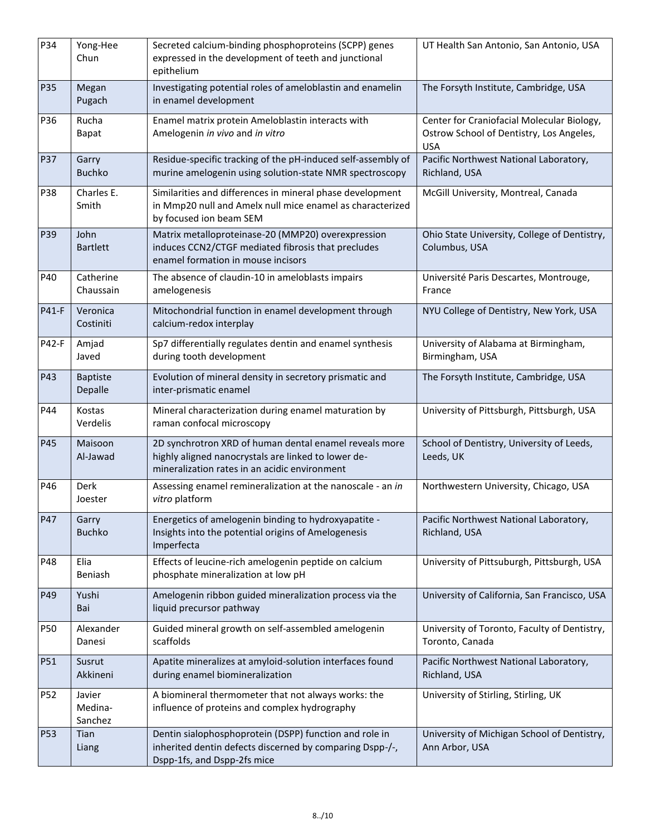| P34   | Yong-Hee<br>Chun             | Secreted calcium-binding phosphoproteins (SCPP) genes<br>expressed in the development of teeth and junctional<br>epithelium                                    | UT Health San Antonio, San Antonio, USA                                                              |
|-------|------------------------------|----------------------------------------------------------------------------------------------------------------------------------------------------------------|------------------------------------------------------------------------------------------------------|
| P35   | Megan<br>Pugach              | Investigating potential roles of ameloblastin and enamelin<br>in enamel development                                                                            | The Forsyth Institute, Cambridge, USA                                                                |
| P36   | Rucha<br><b>Bapat</b>        | Enamel matrix protein Ameloblastin interacts with<br>Amelogenin in vivo and in vitro                                                                           | Center for Craniofacial Molecular Biology,<br>Ostrow School of Dentistry, Los Angeles,<br><b>USA</b> |
| P37   | Garry<br><b>Buchko</b>       | Residue-specific tracking of the pH-induced self-assembly of<br>murine amelogenin using solution-state NMR spectroscopy                                        | Pacific Northwest National Laboratory,<br>Richland, USA                                              |
| P38   | Charles E.<br>Smith          | Similarities and differences in mineral phase development<br>in Mmp20 null and Amelx null mice enamel as characterized<br>by focused ion beam SEM              | McGill University, Montreal, Canada                                                                  |
| P39   | John<br><b>Bartlett</b>      | Matrix metalloproteinase-20 (MMP20) overexpression<br>induces CCN2/CTGF mediated fibrosis that precludes<br>enamel formation in mouse incisors                 | Ohio State University, College of Dentistry,<br>Columbus, USA                                        |
| P40   | Catherine<br>Chaussain       | The absence of claudin-10 in ameloblasts impairs<br>amelogenesis                                                                                               | Université Paris Descartes, Montrouge,<br>France                                                     |
| P41-F | Veronica<br>Costiniti        | Mitochondrial function in enamel development through<br>calcium-redox interplay                                                                                | NYU College of Dentistry, New York, USA                                                              |
| P42-F | Amjad<br>Javed               | Sp7 differentially regulates dentin and enamel synthesis<br>during tooth development                                                                           | University of Alabama at Birmingham,<br>Birmingham, USA                                              |
| P43   | <b>Baptiste</b><br>Depalle   | Evolution of mineral density in secretory prismatic and<br>inter-prismatic enamel                                                                              | The Forsyth Institute, Cambridge, USA                                                                |
| P44   | Kostas<br>Verdelis           | Mineral characterization during enamel maturation by<br>raman confocal microscopy                                                                              | University of Pittsburgh, Pittsburgh, USA                                                            |
| P45   | Maisoon<br>Al-Jawad          | 2D synchrotron XRD of human dental enamel reveals more<br>highly aligned nanocrystals are linked to lower de-<br>mineralization rates in an acidic environment | School of Dentistry, University of Leeds,<br>Leeds, UK                                               |
| P46   | Derk<br>Joester              | Assessing enamel remineralization at the nanoscale - an in<br>vitro platform                                                                                   | Northwestern University, Chicago, USA                                                                |
| P47   | Garry<br><b>Buchko</b>       | Energetics of amelogenin binding to hydroxyapatite -<br>Insights into the potential origins of Amelogenesis<br>Imperfecta                                      | Pacific Northwest National Laboratory,<br>Richland, USA                                              |
| P48   | Elia<br>Beniash              | Effects of leucine-rich amelogenin peptide on calcium<br>phosphate mineralization at low pH                                                                    | University of Pittsuburgh, Pittsburgh, USA                                                           |
| P49   | Yushi<br>Bai                 | Amelogenin ribbon guided mineralization process via the<br>liquid precursor pathway                                                                            | University of California, San Francisco, USA                                                         |
| P50   | Alexander<br>Danesi          | Guided mineral growth on self-assembled amelogenin<br>scaffolds                                                                                                | University of Toronto, Faculty of Dentistry,<br>Toronto, Canada                                      |
| P51   | Susrut<br>Akkineni           | Apatite mineralizes at amyloid-solution interfaces found<br>during enamel biomineralization                                                                    | Pacific Northwest National Laboratory,<br>Richland, USA                                              |
| P52   | Javier<br>Medina-<br>Sanchez | A biomineral thermometer that not always works: the<br>influence of proteins and complex hydrography                                                           | University of Stirling, Stirling, UK                                                                 |
| P53   | Tian<br>Liang                | Dentin sialophosphoprotein (DSPP) function and role in<br>inherited dentin defects discerned by comparing Dspp-/-,<br>Dspp-1fs, and Dspp-2fs mice              | University of Michigan School of Dentistry,<br>Ann Arbor, USA                                        |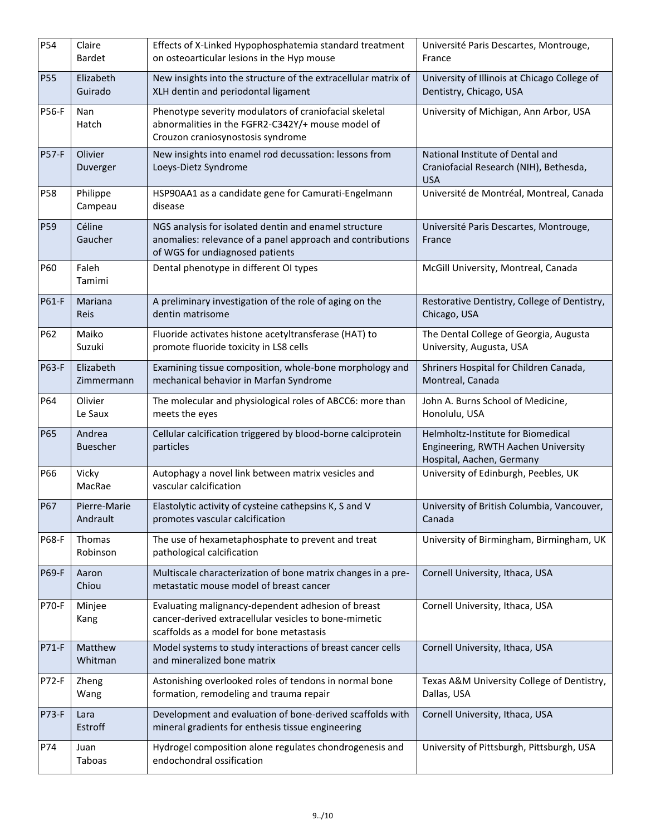| P54          | Claire<br><b>Bardet</b>   | Effects of X-Linked Hypophosphatemia standard treatment<br>on osteoarticular lesions in the Hyp mouse                                                   | Université Paris Descartes, Montrouge,<br>France                                                       |
|--------------|---------------------------|---------------------------------------------------------------------------------------------------------------------------------------------------------|--------------------------------------------------------------------------------------------------------|
| <b>P55</b>   | Elizabeth<br>Guirado      | New insights into the structure of the extracellular matrix of<br>XLH dentin and periodontal ligament                                                   | University of Illinois at Chicago College of<br>Dentistry, Chicago, USA                                |
| <b>P56-F</b> | Nan<br>Hatch              | Phenotype severity modulators of craniofacial skeletal<br>abnormalities in the FGFR2-C342Y/+ mouse model of<br>Crouzon craniosynostosis syndrome        | University of Michigan, Ann Arbor, USA                                                                 |
| <b>P57-F</b> | Olivier<br>Duverger       | New insights into enamel rod decussation: lessons from<br>Loeys-Dietz Syndrome                                                                          | National Institute of Dental and<br>Craniofacial Research (NIH), Bethesda,<br><b>USA</b>               |
| P58          | Philippe<br>Campeau       | HSP90AA1 as a candidate gene for Camurati-Engelmann<br>disease                                                                                          | Université de Montréal, Montreal, Canada                                                               |
| P59          | Céline<br>Gaucher         | NGS analysis for isolated dentin and enamel structure<br>anomalies: relevance of a panel approach and contributions<br>of WGS for undiagnosed patients  | Université Paris Descartes, Montrouge,<br>France                                                       |
| P60          | Faleh<br>Tamimi           | Dental phenotype in different OI types                                                                                                                  | McGill University, Montreal, Canada                                                                    |
| P61-F        | Mariana<br>Reis           | A preliminary investigation of the role of aging on the<br>dentin matrisome                                                                             | Restorative Dentistry, College of Dentistry,<br>Chicago, USA                                           |
| P62          | Maiko<br>Suzuki           | Fluoride activates histone acetyltransferase (HAT) to<br>promote fluoride toxicity in LS8 cells                                                         | The Dental College of Georgia, Augusta<br>University, Augusta, USA                                     |
| P63-F        | Elizabeth<br>Zimmermann   | Examining tissue composition, whole-bone morphology and<br>mechanical behavior in Marfan Syndrome                                                       | Shriners Hospital for Children Canada,<br>Montreal, Canada                                             |
| P64          | Olivier<br>Le Saux        | The molecular and physiological roles of ABCC6: more than<br>meets the eyes                                                                             | John A. Burns School of Medicine,<br>Honolulu, USA                                                     |
| P65          | Andrea<br><b>Buescher</b> | Cellular calcification triggered by blood-borne calciprotein<br>particles                                                                               | Helmholtz-Institute for Biomedical<br>Engineering, RWTH Aachen University<br>Hospital, Aachen, Germany |
| P66          | Vicky<br>MacRae           | Autophagy a novel link between matrix vesicles and<br>vascular calcification                                                                            | University of Edinburgh, Peebles, UK                                                                   |
| <b>P67</b>   | Pierre-Marie<br>Andrault  | Elastolytic activity of cysteine cathepsins K, S and V<br>promotes vascular calcification                                                               | University of British Columbia, Vancouver,<br>Canada                                                   |
| P68-F        | Thomas<br>Robinson        | The use of hexametaphosphate to prevent and treat<br>pathological calcification                                                                         | University of Birmingham, Birmingham, UK                                                               |
| P69-F        | Aaron<br>Chiou            | Multiscale characterization of bone matrix changes in a pre-<br>metastatic mouse model of breast cancer                                                 | Cornell University, Ithaca, USA                                                                        |
| <b>P70-F</b> | Minjee<br>Kang            | Evaluating malignancy-dependent adhesion of breast<br>cancer-derived extracellular vesicles to bone-mimetic<br>scaffolds as a model for bone metastasis | Cornell University, Ithaca, USA                                                                        |
| P71-F        | Matthew<br>Whitman        | Model systems to study interactions of breast cancer cells<br>and mineralized bone matrix                                                               | Cornell University, Ithaca, USA                                                                        |
| P72-F        | Zheng<br>Wang             | Astonishing overlooked roles of tendons in normal bone<br>formation, remodeling and trauma repair                                                       | Texas A&M University College of Dentistry,<br>Dallas, USA                                              |
| <b>P73-F</b> | Lara<br>Estroff           | Development and evaluation of bone-derived scaffolds with<br>mineral gradients for enthesis tissue engineering                                          | Cornell University, Ithaca, USA                                                                        |
| P74          | Juan<br>Taboas            | Hydrogel composition alone regulates chondrogenesis and<br>endochondral ossification                                                                    | University of Pittsburgh, Pittsburgh, USA                                                              |